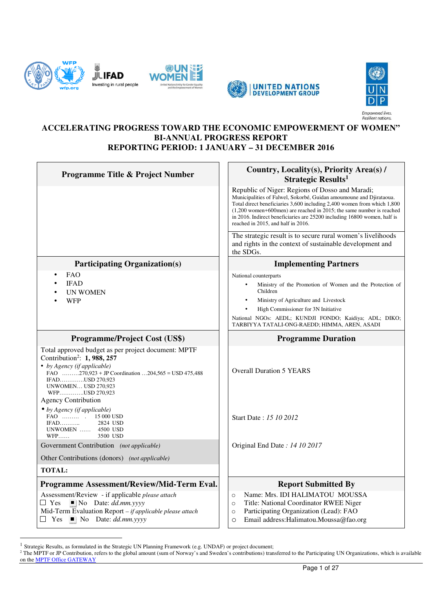







#### **ACCELERATING PROGRESS TOWARD THE ECONOMIC EMPOWERMENT OF WOMEN" BI-ANNUAL PROGRESS REPORT REPORTING PERIOD: 1 JANUARY – 31 DECEMBER 2016**

| <b>Programme Title &amp; Project Number</b>                                                                                                                                                                                                                                             | Country, Locality(s), Priority Area(s) /<br>Strategic Results <sup>1</sup>                                                                                                                                                                                                                                                                                                                     |  |  |  |
|-----------------------------------------------------------------------------------------------------------------------------------------------------------------------------------------------------------------------------------------------------------------------------------------|------------------------------------------------------------------------------------------------------------------------------------------------------------------------------------------------------------------------------------------------------------------------------------------------------------------------------------------------------------------------------------------------|--|--|--|
|                                                                                                                                                                                                                                                                                         | Republic of Niger: Regions of Dosso and Maradi;<br>Municipalities of Falwel, Sokorbé, Guidan amoumoune and Djirataoua.<br>Total direct beneficiaries 3,600 including 2,400 women from which 1,800<br>$(1,200)$ women+600men) are reached in 2015; the same number is reached<br>in 2016. Indirect beneficiaries are 25200 including 16800 women, half is<br>reached in 2015, and half in 2016. |  |  |  |
|                                                                                                                                                                                                                                                                                         | The strategic result is to secure rural women's livelihoods<br>and rights in the context of sustainable development and<br>the SDGs.                                                                                                                                                                                                                                                           |  |  |  |
| <b>Participating Organization(s)</b>                                                                                                                                                                                                                                                    | <b>Implementing Partners</b>                                                                                                                                                                                                                                                                                                                                                                   |  |  |  |
| <b>FAO</b><br><b>IFAD</b><br><b>UN WOMEN</b><br>WFP                                                                                                                                                                                                                                     | National counterparts<br>Ministry of the Promotion of Women and the Protection of<br>Children<br>Ministry of Agriculture and Livestock<br>High Commissioner for 3N Initiative<br>National NGOs: AEDL; KUNDJI FONDO; Kaidiya; ADL; DIKO;<br>TARBIYYA TATALI-ONG-RAEDD; HIMMA, AREN, ASADI                                                                                                       |  |  |  |
| <b>Programme/Project Cost (US\$)</b>                                                                                                                                                                                                                                                    | <b>Programme Duration</b>                                                                                                                                                                                                                                                                                                                                                                      |  |  |  |
| Total approved budget as per project document: MPTF<br>Contribution <sup>2</sup> : 1, 988, 257<br>• by Agency (if applicable)<br>FAO $\ldots \ldots \ldots 270.923 + JP$ Coordination $\ldots$ 204.565 = USD 475.488<br>IFADUSD 270,923<br><b>UNWOMEN USD 270,923</b><br>WFPUSD 270,923 | <b>Overall Duration 5 YEARS</b>                                                                                                                                                                                                                                                                                                                                                                |  |  |  |
| <b>Agency Contribution</b><br>• by Agency (if applicable)<br>FAO  . 15 000 USD<br>$IFAD$<br>2824 USD<br>UNWOMEN  4500 USD<br>$WFP$<br>3500 USD                                                                                                                                          | Start Date: 15 10 2012                                                                                                                                                                                                                                                                                                                                                                         |  |  |  |
| Government Contribution (not applicable)                                                                                                                                                                                                                                                | Original End Date: 14 10 2017                                                                                                                                                                                                                                                                                                                                                                  |  |  |  |
| Other Contributions (donors) (not applicable)                                                                                                                                                                                                                                           |                                                                                                                                                                                                                                                                                                                                                                                                |  |  |  |
| <b>TOTAL:</b>                                                                                                                                                                                                                                                                           |                                                                                                                                                                                                                                                                                                                                                                                                |  |  |  |
| Programme Assessment/Review/Mid-Term Eval.                                                                                                                                                                                                                                              | <b>Report Submitted By</b>                                                                                                                                                                                                                                                                                                                                                                     |  |  |  |
| Assessment/Review - if applicable please attach<br>$\Box$ Yes<br>$\blacksquare$ No Date: <i>dd.mm.yyyy</i><br>Mid-Term Evaluation Report - if applicable please attach<br>$\square$ Yes<br>$\blacksquare$ No Date: <i>dd.mm.yyyy</i>                                                    | Name: Mrs. IDI HALIMATOU MOUSSA<br>$\circ$<br>Title: National Coordinator RWEE Niger<br>$\circ$<br>Participating Organization (Lead): FAO<br>$\circ$<br>Email address: Halimatou. Moussa@fao.org<br>$\circ$                                                                                                                                                                                    |  |  |  |

<sup>&</sup>lt;sup>1</sup> Strategic Results, as formulated in the Strategic UN Planning Framework (e.g. UNDAF) or project document;

-

<sup>&</sup>lt;sup>2</sup> The MPTF or JP Contribution, refers to the global amount (sum of Norway's and Sweden's contributions) transferred to the Participating UN Organizations, which is available on the MPTF Office GATEWAY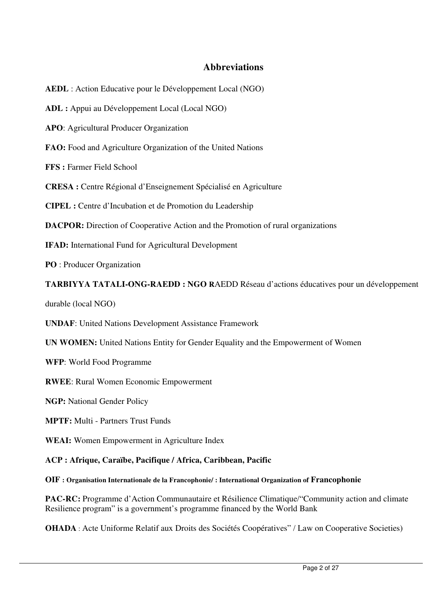# **Abbreviations**

**AEDL** : Action Educative pour le Développement Local (NGO)

**ADL :** Appui au Développement Local (Local NGO)

**APO**: Agricultural Producer Organization

**FAO:** Food and Agriculture Organization of the United Nations

**FFS :** Farmer Field School

**CRESA :** Centre Régional d'Enseignement Spécialisé en Agriculture

**CIPEL :** Centre d'Incubation et de Promotion du Leadership

**DACPOR:** Direction of Cooperative Action and the Promotion of rural organizations

**IFAD:** International Fund for Agricultural Development

**PO** : Producer Organization

**TARBIYYA TATALI-ONG-RAEDD : NGO R**AEDD Réseau d'actions éducatives pour un développement

durable (local NGO)

**UNDAF**: United Nations Development Assistance Framework

**UN WOMEN:** United Nations Entity for Gender Equality and the Empowerment of Women

**WFP**: World Food Programme

**RWEE**: Rural Women Economic Empowerment

**NGP:** National Gender Policy

**MPTF:** Multi - Partners Trust Funds

**WEAI:** Women Empowerment in Agriculture Index

**ACP : Afrique, Caraïbe, Pacifique / Africa, Caribbean, Pacific** 

**OIF : Organisation Internationale de la Francophonie/ : International Organization of Francophonie** 

**PAC-RC:** Programme d'Action Communautaire et Résilience Climatique/"Community action and climate Resilience program" is a government's programme financed by the World Bank

**OHADA** : Acte Uniforme Relatif aux Droits des Sociétés Coopératives" / Law on Cooperative Societies)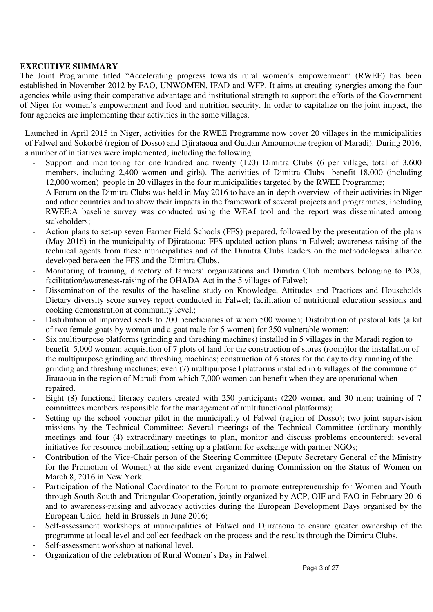### **EXECUTIVE SUMMARY**

The Joint Programme titled "Accelerating progress towards rural women's empowerment" (RWEE) has been established in November 2012 by FAO, UNWOMEN, IFAD and WFP. It aims at creating synergies among the four agencies while using their comparative advantage and institutional strength to support the efforts of the Government of Niger for women's empowerment and food and nutrition security. In order to capitalize on the joint impact, the four agencies are implementing their activities in the same villages.

Launched in April 2015 in Niger, activities for the RWEE Programme now cover 20 villages in the municipalities of Falwel and Sokorbé (region of Dosso) and Djirataoua and Guidan Amoumoune (region of Maradi). During 2016, a number of initiatives were implemented, including the following:

- Support and monitoring for one hundred and twenty (120) Dimitra Clubs (6 per village, total of 3,600 members, including 2,400 women and girls). The activities of Dimitra Clubs benefit 18,000 (including 12,000 women) people in 20 villages in the four municipalities targeted by the RWEE Programme;
- A Forum on the Dimitra Clubs was held in May 2016 to have an in-depth overview of their activities in Niger and other countries and to show their impacts in the framework of several projects and programmes, including RWEE;A baseline survey was conducted using the WEAI tool and the report was disseminated among stakeholders;
- Action plans to set-up seven Farmer Field Schools (FFS) prepared, followed by the presentation of the plans (May 2016) in the municipality of Djirataoua; FFS updated action plans in Falwel; awareness-raising of the technical agents from these municipalities and of the Dimitra Clubs leaders on the methodological alliance developed between the FFS and the Dimitra Clubs.
- Monitoring of training, directory of farmers' organizations and Dimitra Club members belonging to POs, facilitation/awareness-raising of the OHADA Act in the 5 villages of Falwel;
- Dissemination of the results of the baseline study on Knowledge, Attitudes and Practices and Households Dietary diversity score survey report conducted in Falwel; facilitation of nutritional education sessions and cooking demonstration at community level.;
- Distribution of improved seeds to 700 beneficiaries of whom 500 women; Distribution of pastoral kits (a kit of two female goats by woman and a goat male for 5 women) for 350 vulnerable women;
- Six multipurpose platforms (grinding and threshing machines) installed in 5 villages in the Maradi region to benefit 5,000 women; acquisition of 7 plots of land for the construction of stores (room)for the installation of the multipurpose grinding and threshing machines; construction of 6 stores for the day to day running of the grinding and threshing machines; even (7) multipurpose l platforms installed in 6 villages of the commune of Jirataoua in the region of Maradi from which 7,000 women can benefit when they are operational when repaired.
- Eight (8) functional literacy centers created with 250 participants (220 women and 30 men; training of 7 committees members responsible for the management of multifunctional platforms);
- Setting up the school voucher pilot in the municipality of Falwel (region of Dosso); two joint supervision missions by the Technical Committee; Several meetings of the Technical Committee (ordinary monthly meetings and four (4) extraordinary meetings to plan, monitor and discuss problems encountered; several initiatives for resource mobilization; setting up a platform for exchange with partner NGOs;
- Contribution of the Vice-Chair person of the Steering Committee (Deputy Secretary General of the Ministry for the Promotion of Women) at the side event organized during Commission on the Status of Women on March 8, 2016 in New York.
- Participation of the National Coordinator to the Forum to promote entrepreneurship for Women and Youth through South-South and Triangular Cooperation, jointly organized by ACP, OIF and FAO in February 2016 and to awareness-raising and advocacy activities during the European Development Days organised by the European Union held in Brussels in June 2016;
- Self-assessment workshops at municipalities of Falwel and Djirataoua to ensure greater ownership of the programme at local level and collect feedback on the process and the results through the Dimitra Clubs.
- Self-assessment workshop at national level.
- Organization of the celebration of Rural Women's Day in Falwel.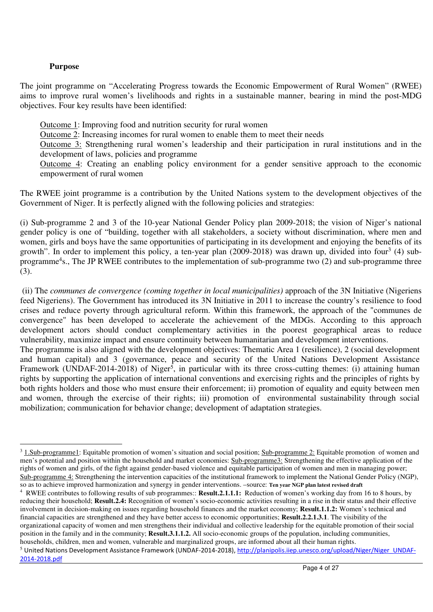### **Purpose**

The joint programme on "Accelerating Progress towards the Economic Empowerment of Rural Women" (RWEE) aims to improve rural women's livelihoods and rights in a sustainable manner, bearing in mind the post-MDG objectives. Four key results have been identified:

Outcome 1: Improving food and nutrition security for rural women

Outcome 2: Increasing incomes for rural women to enable them to meet their needs

Outcome 3: Strengthening rural women's leadership and their participation in rural institutions and in the development of laws, policies and programme

Outcome 4: Creating an enabling policy environment for a gender sensitive approach to the economic empowerment of rural women

The RWEE joint programme is a contribution by the United Nations system to the development objectives of the Government of Niger. It is perfectly aligned with the following policies and strategies:

(i) Sub-programme 2 and 3 of the 10-year National Gender Policy plan 2009-2018; the vision of Niger's national gender policy is one of "building, together with all stakeholders, a society without discrimination, where men and women, girls and boys have the same opportunities of participating in its development and enjoying the benefits of its growth". In order to implement this policy, a ten-year plan (2009-2018) was drawn up, divided into four<sup>3</sup> (4) subprogramme<sup>4</sup>s., The JP RWEE contributes to the implementation of sub-programme two (2) and sub-programme three (3).

 (ii) The *communes de convergence (coming together in local municipalities)* approach of the 3N Initiative (Nigeriens feed Nigeriens). The Government has introduced its 3N Initiative in 2011 to increase the country's resilience to food crises and reduce poverty through agricultural reform. Within this framework, the approach of the "communes de convergence" has been developed to accelerate the achievement of the MDGs. According to this approach development actors should conduct complementary activities in the poorest geographical areas to reduce vulnerability, maximize impact and ensure continuity between humanitarian and development interventions.

The programme is also aligned with the development objectives: Thematic Area 1 (resilience), 2 (social development and human capital) and 3 (governance, peace and security of the United Nations Development Assistance Framework (UNDAF-2014-2018) of Niger<sup>5</sup>, in particular with its three cross-cutting themes: (i) attaining human rights by supporting the application of international conventions and exercising rights and the principles of rights by both rights holders and those who must ensure their enforcement; ii) promotion of equality and equity between men and women, through the exercise of their rights; iii) promotion of environmental sustainability through social mobilization; communication for behavior change; development of adaptation strategies.

<sup>-</sup> $3$  1.Sub-programme1: Equitable promotion of women's situation and social position; Sub-programme 2: Equitable promotion of women and men's potential and position within the household and market economies: Sub-programme3: Strengthening the effective application of the rights of women and girls, of the fight against gender-based violence and equitable participation of women and men in managing power; Sub-programme 4: Strengthening the intervention capacities of the institutional framework to implement the National Gender Policy (NGP), so as to achieve improved harmonization and synergy in gender interventions. –source: **Ten year NGP plan latest revised draft**

<sup>4</sup> RWEE contributes to following results of sub programmes:: **Result.2.1.1.1:** Reduction of women's working day from 16 to 8 hours, by reducing their household; **Result.2.4:** Recognition of women's socio-economic activities resulting in a rise in their status and their effective involvement in decision-making on issues regarding household finances and the market economy; **Result.1.1.2:** Women's technical and financial capacities are strengthened and they have better access to economic opportunities; **Result.2.2.1.3.1**. The visibility of the organizational capacity of women and men strengthens their individual and collective leadership for the equitable promotion of their social position in the family and in the community; **Result.3.1.1.2.** All socio-economic groups of the population, including communities, households, children, men and women, vulnerable and marginalized groups, are informed about all their human rights.

<sup>&</sup>lt;sup>5</sup> United Nations Development Assistance Framework (UNDAF-2014-2018), http://planipolis.iiep.unesco.org/upload/Niger/Niger\_UNDAF-2014-2018.pdf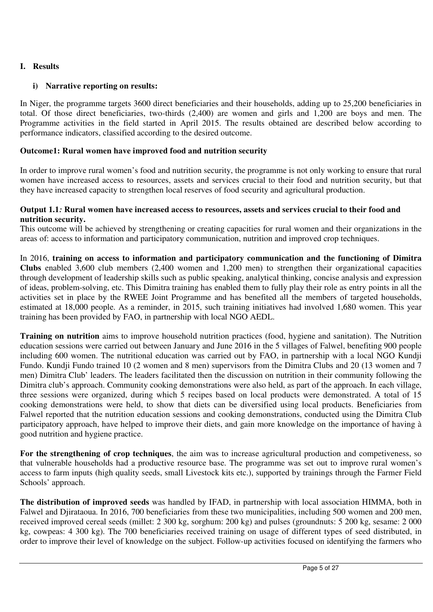# **I. Results**

# **i) Narrative reporting on results:**

In Niger, the programme targets 3600 direct beneficiaries and their households, adding up to 25,200 beneficiaries in total. Of those direct beneficiaries, two-thirds (2,400) are women and girls and 1,200 are boys and men. The Programme activities in the field started in April 2015. The results obtained are described below according to performance indicators, classified according to the desired outcome.

### **Outcome1: Rural women have improved food and nutrition security**

In order to improve rural women's food and nutrition security, the programme is not only working to ensure that rural women have increased access to resources, assets and services crucial to their food and nutrition security, but that they have increased capacity to strengthen local reserves of food security and agricultural production.

#### **Output 1.1***:* **Rural women have increased access to resources, assets and services crucial to their food and nutrition security.**

This outcome will be achieved by strengthening or creating capacities for rural women and their organizations in the areas of: access to information and participatory communication, nutrition and improved crop techniques.

In 2016, **training on access to information and participatory communication and the functioning of Dimitra Clubs** enabled 3,600 club members (2,400 women and 1,200 men) to strengthen their organizational capacities through development of leadership skills such as public speaking, analytical thinking, concise analysis and expression of ideas, problem-solving, etc. This Dimitra training has enabled them to fully play their role as entry points in all the activities set in place by the RWEE Joint Programme and has benefited all the members of targeted households, estimated at 18,000 people. As a reminder, in 2015, such training initiatives had involved 1,680 women. This year training has been provided by FAO, in partnership with local NGO AEDL.

**Training on nutrition** aims to improve household nutrition practices (food, hygiene and sanitation). The Nutrition education sessions were carried out between January and June 2016 in the 5 villages of Falwel, benefiting 900 people including 600 women. The nutritional education was carried out by FAO, in partnership with a local NGO Kundji Fundo. Kundji Fundo trained 10 (2 women and 8 men) supervisors from the Dimitra Clubs and 20 (13 women and 7 men) Dimitra Club' leaders. The leaders facilitated then the discussion on nutrition in their community following the Dimitra club's approach. Community cooking demonstrations were also held, as part of the approach. In each village, three sessions were organized, during which 5 recipes based on local products were demonstrated. A total of 15 cooking demonstrations were held, to show that diets can be diversified using local products. Beneficiaries from Falwel reported that the nutrition education sessions and cooking demonstrations, conducted using the Dimitra Club participatory approach, have helped to improve their diets, and gain more knowledge on the importance of having à good nutrition and hygiene practice.

**For the strengthening of crop techniques**, the aim was to increase agricultural production and competiveness, so that vulnerable households had a productive resource base. The programme was set out to improve rural women's access to farm inputs (high quality seeds, small Livestock kits etc.), supported by trainings through the Farmer Field Schools' approach.

**The distribution of improved seeds** was handled by IFAD, in partnership with local association HIMMA, both in Falwel and Djirataoua. In 2016, 700 beneficiaries from these two municipalities, including 500 women and 200 men, received improved cereal seeds (millet: 2 300 kg, sorghum: 200 kg) and pulses (groundnuts: 5 200 kg, sesame: 2 000 kg, cowpeas: 4 300 kg). The 700 beneficiaries received training on usage of different types of seed distributed, in order to improve their level of knowledge on the subject. Follow-up activities focused on identifying the farmers who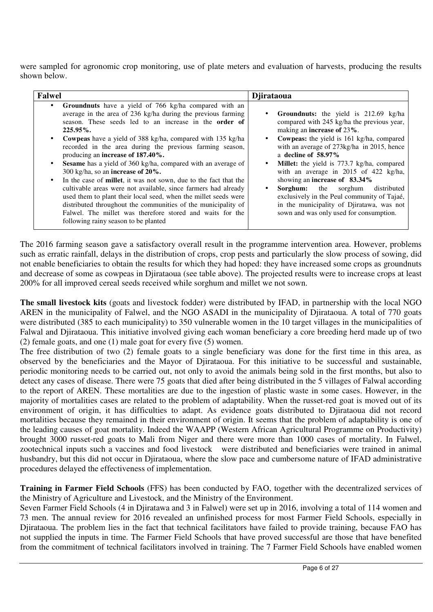were sampled for agronomic crop monitoring, use of plate meters and evaluation of harvests, producing the results shown below.

| <b>Falwel</b>                                                                                                                                                                                                                                                                                                                                                                                                                                                                                                                                                                                                                                                                                                                                                                                                                                                                               | Djirataoua                                                                                                                                                                                                                                                                                                                                                                                                                                                                                                                                                                                                   |
|---------------------------------------------------------------------------------------------------------------------------------------------------------------------------------------------------------------------------------------------------------------------------------------------------------------------------------------------------------------------------------------------------------------------------------------------------------------------------------------------------------------------------------------------------------------------------------------------------------------------------------------------------------------------------------------------------------------------------------------------------------------------------------------------------------------------------------------------------------------------------------------------|--------------------------------------------------------------------------------------------------------------------------------------------------------------------------------------------------------------------------------------------------------------------------------------------------------------------------------------------------------------------------------------------------------------------------------------------------------------------------------------------------------------------------------------------------------------------------------------------------------------|
| • Groundnuts have a yield of 766 kg/ha compared with an<br>average in the area of 236 kg/ha during the previous farming<br>season. These seeds led to an increase in the <b>order</b> of<br>$225.95\%$ .<br>Cowpeas have a yield of 388 kg/ha, compared with 135 kg/ha<br>recorded in the area during the previous farming season,<br>producing an increase of 187.40%.<br><b>Sesame</b> has a yield of 360 kg/ha, compared with an average of<br>300 kg/ha, so an increase of $20\%$ .<br>In the case of <b>millet</b> , it was not sown, due to the fact that the<br>$\bullet$<br>cultivable areas were not available, since farmers had already<br>used them to plant their local seed, when the millet seeds were<br>distributed throughout the communities of the municipality of<br>Falwel. The millet was therefore stored and waits for the<br>following rainy season to be planted | <b>Groundnuts:</b> the yield is 212.69 kg/ha<br>$\bullet$<br>compared with 245 kg/ha the previous year,<br>making an increase of 23%.<br>Cowpeas: the yield is 161 kg/ha, compared<br>$\bullet$<br>with an average of 273kg/ha in 2015, hence<br>a decline of $58.97\%$<br><b>Millet:</b> the yield is 773.7 kg/ha, compared<br>٠<br>with an average in 2015 of 422 kg/ha,<br>showing an increase of $83.34\%$<br>Sorghum:<br>the sorghum<br>distributed<br>$\bullet$<br>exclusively in the Peul community of Tajaé,<br>in the municipality of Djiratawa, was not<br>sown and was only used for consumption. |

The 2016 farming season gave a satisfactory overall result in the programme intervention area. However, problems such as erratic rainfall, delays in the distribution of crops, crop pests and particularly the slow process of sowing, did not enable beneficiaries to obtain the results for which they had hoped: they have increased some crops as groundnuts and decrease of some as cowpeas in Djirataoua (see table above). The projected results were to increase crops at least 200% for all improved cereal seeds received while sorghum and millet we not sown.

**The small livestock kits** (goats and livestock fodder) were distributed by IFAD, in partnership with the local NGO AREN in the municipality of Falwel, and the NGO ASADI in the municipality of Djirataoua. A total of 770 goats were distributed (385 to each municipality) to 350 vulnerable women in the 10 target villages in the municipalities of Falwal and Djirataoua. This initiative involved giving each woman beneficiary a core breeding herd made up of two (2) female goats, and one (1) male goat for every five (5) women.

The free distribution of two (2) female goats to a single beneficiary was done for the first time in this area, as observed by the beneficiaries and the Mayor of Djirataoua. For this initiative to be successful and sustainable, periodic monitoring needs to be carried out, not only to avoid the animals being sold in the first months, but also to detect any cases of disease. There were 75 goats that died after being distributed in the 5 villages of Falwal according to the report of AREN. These mortalities are due to the ingestion of plastic waste in some cases. However, in the majority of mortalities cases are related to the problem of adaptability. When the russet-red goat is moved out of its environment of origin, it has difficulties to adapt. As evidence goats distributed to Djirataoua did not record mortalities because they remained in their environment of origin. It seems that the problem of adaptability is one of the leading causes of goat mortality. Indeed the WAAPP (Western African Agricultural Programme on Productivity) brought 3000 russet-red goats to Mali from Niger and there were more than 1000 cases of mortality. In Falwel, zootechnical inputs such a vaccines and food livestock were distributed and beneficiaries were trained in animal husbandry, but this did not occur in Djirataoua, where the slow pace and cumbersome nature of IFAD administrative procedures delayed the effectiveness of implementation.

**Training in Farmer Field Schools** (FFS) has been conducted by FAO, together with the decentralized services of the Ministry of Agriculture and Livestock, and the Ministry of the Environment.

Seven Farmer Field Schools (4 in Djiratawa and 3 in Falwel) were set up in 2016, involving a total of 114 women and 73 men. The annual review for 2016 revealed an unfinished process for most Farmer Field Schools, especially in Djirataoua. The problem lies in the fact that technical facilitators have failed to provide training, because FAO has not supplied the inputs in time. The Farmer Field Schools that have proved successful are those that have benefited from the commitment of technical facilitators involved in training. The 7 Farmer Field Schools have enabled women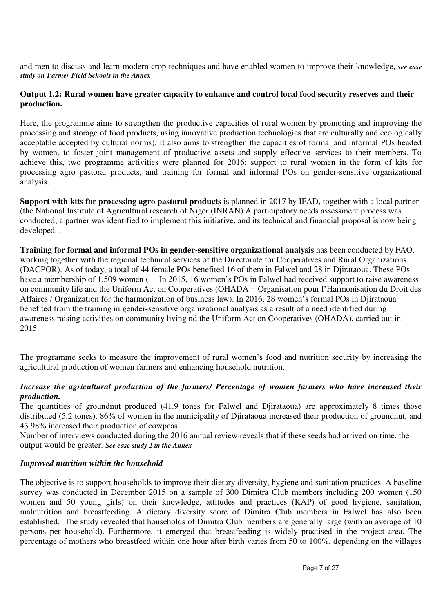and men to discuss and learn modern crop techniques and have enabled women to improve their knowledge, *see case study on Farmer Field Schools in the Annex*

### **Output 1.2: Rural women have greater capacity to enhance and control local food security reserves and their production.**

Here, the programme aims to strengthen the productive capacities of rural women by promoting and improving the processing and storage of food products, using innovative production technologies that are culturally and ecologically acceptable accepted by cultural norms). It also aims to strengthen the capacities of formal and informal POs headed by women, to foster joint management of productive assets and supply effective services to their members. To achieve this, two programme activities were planned for 2016: support to rural women in the form of kits for processing agro pastoral products, and training for formal and informal POs on gender-sensitive organizational analysis.

**Support with kits for processing agro pastoral products** is planned in 2017 by IFAD, together with a local partner (the National Institute of Agricultural research of Niger (INRAN) A participatory needs assessment process was conducted; a partner was identified to implement this initiative, and its technical and financial proposal is now being developed. ,

**Training for formal and informal POs in gender-sensitive organizational analysis** has been conducted by FAO, working together with the regional technical services of the Directorate for Cooperatives and Rural Organizations (DACPOR). As of today, a total of 44 female POs benefited 16 of them in Falwel and 28 in Djirataoua. These POs have a membership of 1,509 women ( . In 2015, 16 women's POs in Falwel had received support to raise awareness on community life and the Uniform Act on Cooperatives (OHADA = Organisation pour l'Harmonisation du Droit des Affaires / Organization for the harmonization of business law). In 2016, 28 women's formal POs in Djirataoua benefited from the training in gender-sensitive organizational analysis as a result of a need identified during awareness raising activities on community living nd the Uniform Act on Cooperatives (OHADA), carried out in 2015.

The programme seeks to measure the improvement of rural women's food and nutrition security by increasing the agricultural production of women farmers and enhancing household nutrition.

# *Increase the agricultural production of the farmers/ Percentage of women farmers who have increased their production.*

The quantities of groundnut produced (41.9 tones for Falwel and Djirataoua) are approximately 8 times those distributed (5.2 tones). 86% of women in the municipality of Diirataoua increased their production of groundnut, and 43.98% increased their production of cowpeas.

Number of interviews conducted during the 2016 annual review reveals that if these seeds had arrived on time, the output would be greater. *See case study 2 in the Annex* 

# *Improved nutrition within the household*

The objective is to support households to improve their dietary diversity, hygiene and sanitation practices. A baseline survey was conducted in December 2015 on a sample of 300 Dimitra Club members including 200 women (150) women and 50 young girls) on their knowledge, attitudes and practices (KAP) of good hygiene, sanitation, malnutrition and breastfeeding. A dietary diversity score of Dimitra Club members in Falwel has also been established. The study revealed that households of Dimitra Club members are generally large (with an average of 10 persons per household). Furthermore, it emerged that breastfeeding is widely practised in the project area. The percentage of mothers who breastfeed within one hour after birth varies from 50 to 100%, depending on the villages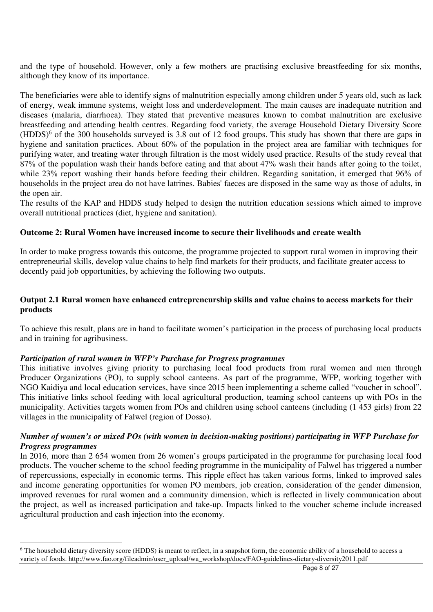and the type of household. However, only a few mothers are practising exclusive breastfeeding for six months, although they know of its importance.

The beneficiaries were able to identify signs of malnutrition especially among children under 5 years old, such as lack of energy, weak immune systems, weight loss and underdevelopment. The main causes are inadequate nutrition and diseases (malaria, diarrhoea). They stated that preventive measures known to combat malnutrition are exclusive breastfeeding and attending health centres. Regarding food variety, the average Household Dietary Diversity Score (HDDS)<sup>6</sup> of the 300 households surveyed is 3.8 out of 12 food groups. This study has shown that there are gaps in hygiene and sanitation practices. About 60% of the population in the project area are familiar with techniques for purifying water, and treating water through filtration is the most widely used practice. Results of the study reveal that 87% of the population wash their hands before eating and that about 47% wash their hands after going to the toilet, while 23% report washing their hands before feeding their children. Regarding sanitation, it emerged that 96% of households in the project area do not have latrines. Babies' faeces are disposed in the same way as those of adults, in the open air.

The results of the KAP and HDDS study helped to design the nutrition education sessions which aimed to improve overall nutritional practices (diet, hygiene and sanitation).

### **Outcome 2: Rural Women have increased income to secure their livelihoods and create wealth**

In order to make progress towards this outcome, the programme projected to support rural women in improving their entrepreneurial skills, develop value chains to help find markets for their products, and facilitate greater access to decently paid job opportunities, by achieving the following two outputs.

### **Output 2.1 Rural women have enhanced entrepreneurship skills and value chains to access markets for their products**

To achieve this result, plans are in hand to facilitate women's participation in the process of purchasing local products and in training for agribusiness.

### *Participation of rural women in WFP's Purchase for Progress programmes*

-

This initiative involves giving priority to purchasing local food products from rural women and men through Producer Organizations (PO), to supply school canteens. As part of the programme, WFP, working together with NGO Kaidiya and local education services, have since 2015 been implementing a scheme called "voucher in school". This initiative links school feeding with local agricultural production, teaming school canteens up with POs in the municipality. Activities targets women from POs and children using school canteens (including (1 453 girls) from 22 villages in the municipality of Falwel (region of Dosso).

### *Number of women's or mixed POs (with women in decision-making positions) participating in WFP Purchase for Progress programmes*

In 2016, more than 2 654 women from 26 women's groups participated in the programme for purchasing local food products. The voucher scheme to the school feeding programme in the municipality of Falwel has triggered a number of repercussions, especially in economic terms. This ripple effect has taken various forms, linked to improved sales and income generating opportunities for women PO members, job creation, consideration of the gender dimension, improved revenues for rural women and a community dimension, which is reflected in lively communication about the project, as well as increased participation and take-up. Impacts linked to the voucher scheme include increased agricultural production and cash injection into the economy.

<sup>&</sup>lt;sup>6</sup> The household dietary diversity score (HDDS) is meant to reflect, in a snapshot form, the economic ability of a household to access a variety of foods. http://www.fao.org/fileadmin/user\_upload/wa\_workshop/docs/FAO-guidelines-dietary-diversity2011.pdf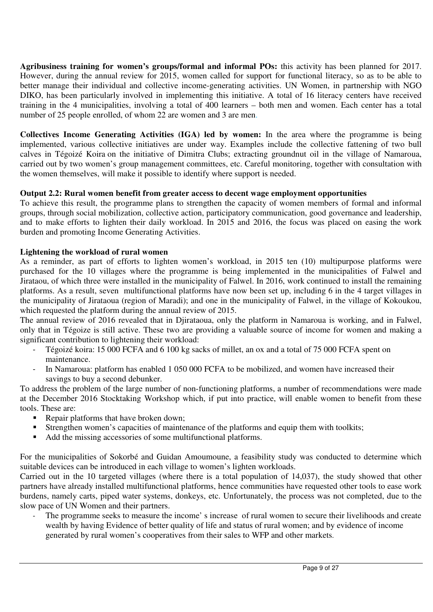**Agribusiness training for women's groups/formal and informal POs:** this activity has been planned for 2017. However, during the annual review for 2015, women called for support for functional literacy, so as to be able to better manage their individual and collective income-generating activities. UN Women, in partnership with NGO DIKO, has been particularly involved in implementing this initiative. A total of 16 literacy centers have received training in the 4 municipalities, involving a total of 400 learners – both men and women. Each center has a total number of 25 people enrolled, of whom 22 are women and 3 are men.

**Collectives Income Generating Activities (IGA) led by women:** In the area where the programme is being implemented, various collective initiatives are under way. Examples include the collective fattening of two bull calves in Tégoizé Koira on the initiative of Dimitra Clubs; extracting groundnut oil in the village of Namaroua, carried out by two women's group management committees, etc. Careful monitoring, together with consultation with the women themselves, will make it possible to identify where support is needed.

# **Output 2.2: Rural women benefit from greater access to decent wage employment opportunities**

To achieve this result, the programme plans to strengthen the capacity of women members of formal and informal groups, through social mobilization, collective action, participatory communication, good governance and leadership, and to make efforts to lighten their daily workload. In 2015 and 2016, the focus was placed on easing the work burden and promoting Income Generating Activities.

# **Lightening the workload of rural women**

As a reminder, as part of efforts to lighten women's workload, in 2015 ten (10) multipurpose platforms were purchased for the 10 villages where the programme is being implemented in the municipalities of Falwel and Jirataou, of which three were installed in the municipality of Falwel. In 2016, work continued to install the remaining platforms. As a result, seven multifunctional platforms have now been set up, including 6 in the 4 target villages in the municipality of Jirataoua (region of Maradi); and one in the municipality of Falwel, in the village of Kokoukou, which requested the platform during the annual review of 2015.

The annual review of 2016 revealed that in Djirataoua, only the platform in Namaroua is working, and in Falwel, only that in Tégoize is still active. These two are providing a valuable source of income for women and making a significant contribution to lightening their workload:

- Tégoizé koira: 15 000 FCFA and 6 100 kg sacks of millet, an ox and a total of 75 000 FCFA spent on maintenance.
- In Namaroua: platform has enabled 1 050 000 FCFA to be mobilized, and women have increased their savings to buy a second debunker.

To address the problem of the large number of non-functioning platforms, a number of recommendations were made at the December 2016 Stocktaking Workshop which, if put into practice, will enable women to benefit from these tools. These are:

- Repair platforms that have broken down;
- Strengthen women's capacities of maintenance of the platforms and equip them with toolkits;
- Add the missing accessories of some multifunctional platforms.

For the municipalities of Sokorbé and Guidan Amoumoune, a feasibility study was conducted to determine which suitable devices can be introduced in each village to women's lighten workloads.

Carried out in the 10 targeted villages (where there is a total population of 14,037), the study showed that other partners have already installed multifunctional platforms, hence communities have requested other tools to ease work burdens, namely carts, piped water systems, donkeys, etc. Unfortunately, the process was not completed, due to the slow pace of UN Women and their partners.

The programme seeks to measure the income' s increase of rural women to secure their livelihoods and create wealth by having Evidence of better quality of life and status of rural women; and by evidence of income generated by rural women's cooperatives from their sales to WFP and other markets.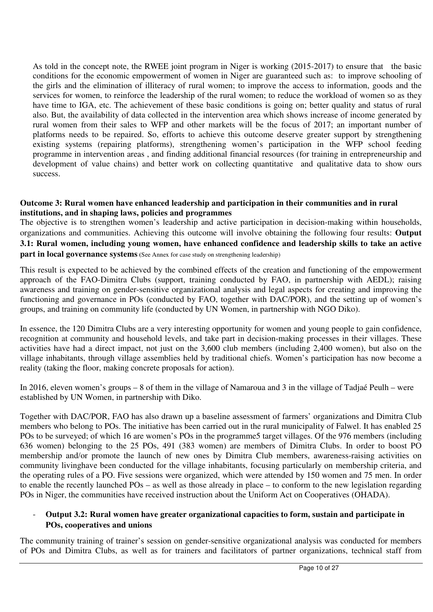As told in the concept note, the RWEE joint program in Niger is working (2015-2017) to ensure that the basic conditions for the economic empowerment of women in Niger are guaranteed such as: to improve schooling of the girls and the elimination of illiteracy of rural women; to improve the access to information, goods and the services for women, to reinforce the leadership of the rural women; to reduce the workload of women so as they have time to IGA, etc. The achievement of these basic conditions is going on; better quality and status of rural also. But, the availability of data collected in the intervention area which shows increase of income generated by rural women from their sales to WFP and other markets will be the focus of 2017; an important number of platforms needs to be repaired. So, efforts to achieve this outcome deserve greater support by strengthening existing systems (repairing platforms), strengthening women's participation in the WFP school feeding programme in intervention areas , and finding additional financial resources (for training in entrepreneurship and development of value chains) and better work on collecting quantitative and qualitative data to show ours success.

### **Outcome 3: Rural women have enhanced leadership and participation in their communities and in rural institutions, and in shaping laws, policies and programmes**

The objective is to strengthen women's leadership and active participation in decision-making within households, organizations and communities. Achieving this outcome will involve obtaining the following four results: **Output 3.1: Rural women, including young women, have enhanced confidence and leadership skills to take an active part in local governance systems** (See Annex for case study on strengthening leadership)

This result is expected to be achieved by the combined effects of the creation and functioning of the empowerment approach of the FAO-Dimitra Clubs (support, training conducted by FAO, in partnership with AEDL); raising awareness and training on gender-sensitive organizational analysis and legal aspects for creating and improving the functioning and governance in POs (conducted by FAO, together with DAC/POR), and the setting up of women's groups, and training on community life (conducted by UN Women, in partnership with NGO Diko).

In essence, the 120 Dimitra Clubs are a very interesting opportunity for women and young people to gain confidence, recognition at community and household levels, and take part in decision-making processes in their villages. These activities have had a direct impact, not just on the 3,600 club members (including 2,400 women), but also on the village inhabitants, through village assemblies held by traditional chiefs. Women's participation has now become a reality (taking the floor, making concrete proposals for action).

In 2016, eleven women's groups – 8 of them in the village of Namaroua and 3 in the village of Tadjaé Peulh – were established by UN Women, in partnership with Diko.

Together with DAC/POR, FAO has also drawn up a baseline assessment of farmers' organizations and Dimitra Club members who belong to POs. The initiative has been carried out in the rural municipality of Falwel. It has enabled 25 POs to be surveyed; of which 16 are women's POs in the programme5 target villages. Of the 976 members (including 636 women) belonging to the 25 POs, 491 (383 women) are members of Dimitra Clubs. In order to boost PO membership and/or promote the launch of new ones by Dimitra Club members, awareness-raising activities on community livinghave been conducted for the village inhabitants, focusing particularly on membership criteria, and the operating rules of a PO. Five sessions were organized, which were attended by 150 women and 75 men. In order to enable the recently launched POs – as well as those already in place – to conform to the new legislation regarding POs in Niger, the communities have received instruction about the Uniform Act on Cooperatives (OHADA).

### - **Output 3.2: Rural women have greater organizational capacities to form, sustain and participate in POs, cooperatives and unions**

The community training of trainer's session on gender-sensitive organizational analysis was conducted for members of POs and Dimitra Clubs, as well as for trainers and facilitators of partner organizations, technical staff from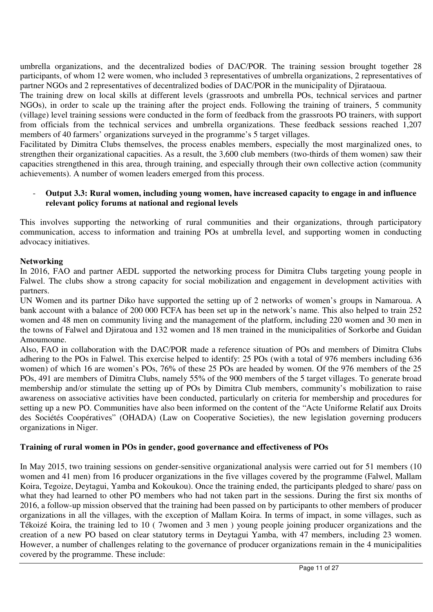umbrella organizations, and the decentralized bodies of DAC/POR. The training session brought together 28 participants, of whom 12 were women, who included 3 representatives of umbrella organizations, 2 representatives of partner NGOs and 2 representatives of decentralized bodies of DAC/POR in the municipality of Diirataoua.

The training drew on local skills at different levels (grassroots and umbrella POs, technical services and partner NGOs), in order to scale up the training after the project ends. Following the training of trainers, 5 community (village) level training sessions were conducted in the form of feedback from the grassroots PO trainers, with support from officials from the technical services and umbrella organizations. These feedback sessions reached 1,207 members of 40 farmers' organizations surveyed in the programme's 5 target villages.

Facilitated by Dimitra Clubs themselves, the process enables members, especially the most marginalized ones, to strengthen their organizational capacities. As a result, the 3,600 club members (two-thirds of them women) saw their capacities strengthened in this area, through training, and especially through their own collective action (community achievements). A number of women leaders emerged from this process.

# - **Output 3.3: Rural women, including young women, have increased capacity to engage in and influence relevant policy forums at national and regional levels**

This involves supporting the networking of rural communities and their organizations, through participatory communication, access to information and training POs at umbrella level, and supporting women in conducting advocacy initiatives.

# **Networking**

In 2016, FAO and partner AEDL supported the networking process for Dimitra Clubs targeting young people in Falwel. The clubs show a strong capacity for social mobilization and engagement in development activities with partners.

UN Women and its partner Diko have supported the setting up of 2 networks of women's groups in Namaroua. A bank account with a balance of 200 000 FCFA has been set up in the network's name. This also helped to train 252 women and 48 men on community living and the management of the platform, including 220 women and 30 men in the towns of Falwel and Djiratoua and 132 women and 18 men trained in the municipalities of Sorkorbe and Guidan Amoumoune.

Also, FAO in collaboration with the DAC/POR made a reference situation of POs and members of Dimitra Clubs adhering to the POs in Falwel. This exercise helped to identify: 25 POs (with a total of 976 members including 636 women) of which 16 are women's POs, 76% of these 25 POs are headed by women. Of the 976 members of the 25 POs, 491 are members of Dimitra Clubs, namely 55% of the 900 members of the 5 target villages. To generate broad membership and/or stimulate the setting up of POs by Dimitra Club members, community's mobilization to raise awareness on associative activities have been conducted, particularly on criteria for membership and procedures for setting up a new PO. Communities have also been informed on the content of the "Acte Uniforme Relatif aux Droits des Sociétés Coopératives" (OHADA) (Law on Cooperative Societies), the new legislation governing producers organizations in Niger.

# **Training of rural women in POs in gender, good governance and effectiveness of POs**

In May 2015, two training sessions on gender-sensitive organizational analysis were carried out for 51 members (10 women and 41 men) from 16 producer organizations in the five villages covered by the programme (Falwel, Mallam Koira, Tegoize, Deytagui, Yamba and Kokoukou). Once the training ended, the participants pledged to share/ pass on what they had learned to other PO members who had not taken part in the sessions. During the first six months of 2016, a follow-up mission observed that the training had been passed on by participants to other members of producer organizations in all the villages, with the exception of Mallam Koira. In terms of impact, in some villages, such as Tékoizé Koira, the training led to 10 ( 7women and 3 men ) young people joining producer organizations and the creation of a new PO based on clear statutory terms in Deytagui Yamba, with 47 members, including 23 women. However, a number of challenges relating to the governance of producer organizations remain in the 4 municipalities covered by the programme. These include: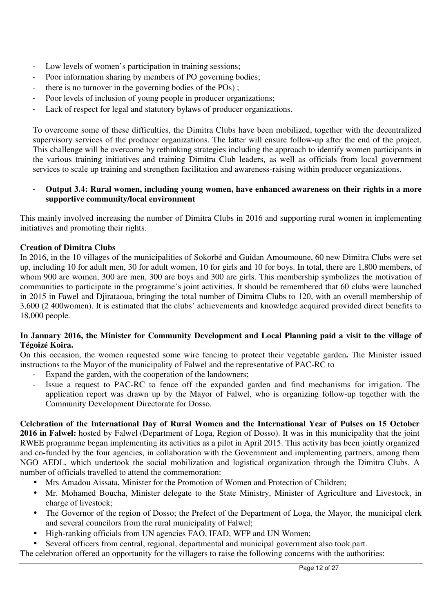- Low levels of women's participation in training sessions;
- Poor information sharing by members of PO governing bodies;
- there is no turnover in the governing bodies of the POs);
- Poor levels of inclusion of young people in producer organizations;
- Lack of respect for legal and statutory bylaws of producer organizations.

To overcome some of these difficulties, the Dimitra Clubs have been mobilized, together with the decentralized supervisory services of the producer organizations. The latter will ensure follow-up after the end of the project. This challenge will be overcome by rethinking strategies including the approach to identify women participants in the various training initiatives and training Dimitra Club leaders, as well as officials from local government services to scale up training and strengthen facilitation and awareness-raising within producer organizations.

# - **Output 3.4: Rural women, including young women, have enhanced awareness on their rights in a more supportive community/local environment**

This mainly involved increasing the number of Dimitra Clubs in 2016 and supporting rural women in implementing initiatives and promoting their rights.

# **Creation of Dimitra Clubs**

In 2016, in the 10 villages of the municipalities of Sokorbé and Guidan Amoumoune, 60 new Dimitra Clubs were set up, including 10 for adult men, 30 for adult women, 10 for girls and 10 for boys. In total, there are 1,800 members, of whom 900 are women, 300 are men, 300 are boys and 300 are girls. This membership symbolizes the motivation of communities to participate in the programme's joint activities. It should be remembered that 60 clubs were launched in 2015 in Fawel and Djirataoua, bringing the total number of Dimitra Clubs to 120, with an overall membership of 3,600 (2 400women). It is estimated that the clubs' achievements and knowledge acquired provided direct benefits to 18,000 people.

# **In January 2016, the Minister for Community Development and Local Planning paid a visit to the village of Tégoizé Koira.**

On this occasion, the women requested some wire fencing to protect their vegetable garden**.** The Minister issued instructions to the Mayor of the municipality of Falwel and the representative of PAC-RC to

- Expand the garden, with the cooperation of the landowners;
- Issue a request to PAC-RC to fence off the expanded garden and find mechanisms for irrigation. The application report was drawn up by the Mayor of Falwel, who is organizing follow-up together with the Community Development Directorate for Dosso.

### **Celebration of the International Day of Rural Women and the International Year of Pulses on 15 October 2016 in Falwel:** hosted by Falwel (Department of Loga, Region of Dosso). It was in this municipality that the joint RWEE programme began implementing its activities as a pilot in April 2015. This activity has been jointly organized and co-funded by the four agencies, in collaboration with the Government and implementing partners, among them NGO AEDL, which undertook the social mobilization and logistical organization through the Dimitra Clubs. A number of officials travelled to attend the commemoration:

- Mrs Amadou Aissata, Minister for the Promotion of Women and Protection of Children;
- Mr. Mohamed Boucha, Minister delegate to the State Ministry, Minister of Agriculture and Livestock, in charge of livestock;
- The Governor of the region of Dosso; the Prefect of the Department of Loga, the Mayor, the municipal clerk and several councilors from the rural municipality of Falwel;
- High-ranking officials from UN agencies FAO, IFAD, WFP and UN Women;
- Several officers from central, regional, departmental and municipal government also took part.

The celebration offered an opportunity for the villagers to raise the following concerns with the authorities: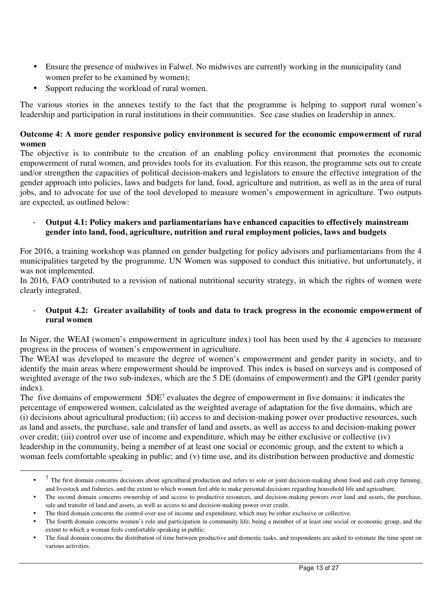- Ensure the presence of midwives in Falwel. No midwives are currently working in the municipality (and women prefer to be examined by women);
- Support reducing the workload of rural women.

-

The various stories in the annexes testify to the fact that the programme is helping to support rural women's leadership and participation in rural institutions in their communities. See case studies on leadership in annex.

# **Outcome 4: A more gender responsive policy environment is secured for the economic empowerment of rural women**

The objective is to contribute to the creation of an enabling policy environment that promotes the economic empowerment of rural women, and provides tools for its evaluation. For this reason, the programme sets out to create and/or strengthen the capacities of political decision-makers and legislators to ensure the effective integration of the gender approach into policies, laws and budgets for land, food, agriculture and nutrition, as well as in the area of rural jobs, and to advocate for use of the tool developed to measure women's empowerment in agriculture. Two outputs are expected, as outlined below:

### - **Output 4.1: Policy makers and parliamentarians have enhanced capacities to effectively mainstream gender into land, food, agriculture, nutrition and rural employment policies, laws and budgets**

For 2016, a training workshop was planned on gender budgeting for policy advisors and parliamentarians from the 4 municipalities targeted by the programme. UN Women was supposed to conduct this initiative, but unfortunately, it was not implemented.

In 2016, FAO contributed to a revision of national nutritional security strategy, in which the rights of women were clearly integrated.

# - **Output 4.2: Greater availability of tools and data to track progress in the economic empowerment of rural women**

In Niger, the WEAI (women's empowerment in agriculture index) tool has been used by the 4 agencies to measure progress in the process of women's empowerment in agriculture.

The WEAI was developed to measure the degree of women's empowerment and gender parity in society, and to identify the main areas where empowerment should be improved. This index is based on surveys and is composed of weighted average of the two sub-indexes, which are the 5 DE (domains of empowerment) and the GPI (gender parity index).

The five domains of empowerment  $5DE<sup>7</sup>$  evaluates the degree of empowerment in five domains: it indicates the percentage of empowered women, calculated as the weighted average of adaptation for the five domains, which are (i) decisions about agricultural production; (ii) access to and decision-making power over productive resources, such as land and assets, the purchase, sale and transfer of land and assets, as well as access to and decision-making power over credit; (iii) control over use of income and expenditure, which may be either exclusive or collective (iv) leadership in the community, being a member of at least one social or economic group, and the extent to which a woman feels comfortable speaking in public; and (v) time use, and its distribution between productive and domestic

<sup>•</sup>  $<sup>7</sup>$  The first domain concerns decisions about agricultural production and refers to sole or joint decision-making about food and cash crop farming,</sup> and livestock and fisheries, and the extent to which women feel able to make personal decisions regarding household life and agriculture.

<sup>•</sup> The second domain concerns ownership of and access to productive resources, and decision-making powers over land and assets, the purchase, sale and transfer of land and assets, as well as access to and decision-making power over credit.

<sup>•</sup> The third domain concerns the control over use of income and expenditure, which may be either exclusive or collective.

<sup>•</sup> The fourth domain concerns women's role and participation in community life, being a member of at least one social or economic group, and the extent to which a woman feels comfortable speaking in public.

<sup>•</sup> The final domain concerns the distribution of time between productive and domestic tasks, and respondents are asked to estimate the time spent on various activities.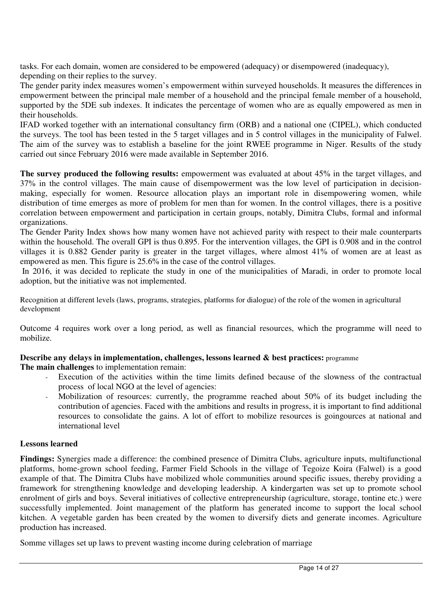tasks. For each domain, women are considered to be empowered (adequacy) or disempowered (inadequacy), depending on their replies to the survey.

The gender parity index measures women's empowerment within surveyed households. It measures the differences in empowerment between the principal male member of a household and the principal female member of a household, supported by the 5DE sub indexes. It indicates the percentage of women who are as equally empowered as men in their households.

IFAD worked together with an international consultancy firm (ORB) and a national one (CIPEL), which conducted the surveys. The tool has been tested in the 5 target villages and in 5 control villages in the municipality of Falwel. The aim of the survey was to establish a baseline for the joint RWEE programme in Niger. Results of the study carried out since February 2016 were made available in September 2016.

**The survey produced the following results:** empowerment was evaluated at about 45% in the target villages, and 37% in the control villages. The main cause of disempowerment was the low level of participation in decisionmaking, especially for women. Resource allocation plays an important role in disempowering women, while distribution of time emerges as more of problem for men than for women. In the control villages, there is a positive correlation between empowerment and participation in certain groups, notably, Dimitra Clubs, formal and informal organizations.

The Gender Parity Index shows how many women have not achieved parity with respect to their male counterparts within the household. The overall GPI is thus 0.895. For the intervention villages, the GPI is 0.908 and in the control villages it is 0.882 Gender parity is greater in the target villages, where almost 41% of women are at least as empowered as men. This figure is 25.6% in the case of the control villages.

 In 2016, it was decided to replicate the study in one of the municipalities of Maradi, in order to promote local adoption, but the initiative was not implemented.

Recognition at different levels (laws, programs, strategies, platforms for dialogue) of the role of the women in agricultural development

Outcome 4 requires work over a long period, as well as financial resources, which the programme will need to mobilize.

# **Describe any delays in implementation, challenges, lessons learned & best practices:** programme

**The main challenges** to implementation remain:

- Execution of the activities within the time limits defined because of the slowness of the contractual process of local NGO at the level of agencies:
- Mobilization of resources: currently, the programme reached about 50% of its budget including the contribution of agencies. Faced with the ambitions and results in progress, it is important to find additional resources to consolidate the gains. A lot of effort to mobilize resources is goingources at national and international level

# **Lessons learned**

**Findings:** Synergies made a difference: the combined presence of Dimitra Clubs, agriculture inputs, multifunctional platforms, home-grown school feeding, Farmer Field Schools in the village of Tegoize Koira (Falwel) is a good example of that. The Dimitra Clubs have mobilized whole communities around specific issues, thereby providing a framework for strengthening knowledge and developing leadership. A kindergarten was set up to promote school enrolment of girls and boys. Several initiatives of collective entrepreneurship (agriculture, storage, tontine etc.) were successfully implemented. Joint management of the platform has generated income to support the local school kitchen. A vegetable garden has been created by the women to diversify diets and generate incomes. Agriculture production has increased.

Somme villages set up laws to prevent wasting income during celebration of marriage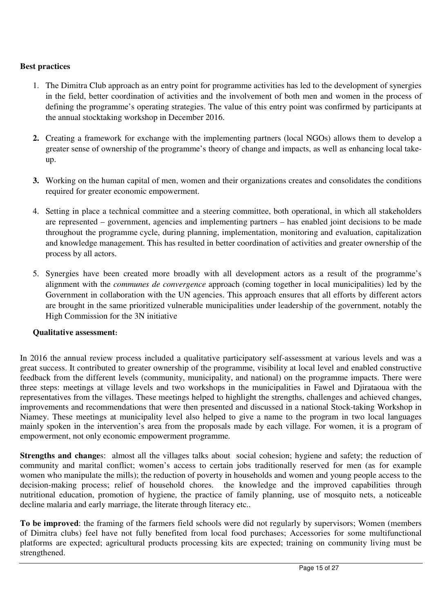# **Best practices**

- 1. The Dimitra Club approach as an entry point for programme activities has led to the development of synergies in the field, better coordination of activities and the involvement of both men and women in the process of defining the programme's operating strategies. The value of this entry point was confirmed by participants at the annual stocktaking workshop in December 2016.
- **2.** Creating a framework for exchange with the implementing partners (local NGOs) allows them to develop a greater sense of ownership of the programme's theory of change and impacts, as well as enhancing local takeup.
- **3.** Working on the human capital of men, women and their organizations creates and consolidates the conditions required for greater economic empowerment.
- 4. Setting in place a technical committee and a steering committee, both operational, in which all stakeholders are represented – government, agencies and implementing partners – has enabled joint decisions to be made throughout the programme cycle, during planning, implementation, monitoring and evaluation, capitalization and knowledge management. This has resulted in better coordination of activities and greater ownership of the process by all actors.
- 5. Synergies have been created more broadly with all development actors as a result of the programme's alignment with the *communes de convergence* approach (coming together in local municipalities) led by the Government in collaboration with the UN agencies. This approach ensures that all efforts by different actors are brought in the same prioritized vulnerable municipalities under leadership of the government, notably the High Commission for the 3N initiative

# **Qualitative assessment:**

In 2016 the annual review process included a qualitative participatory self-assessment at various levels and was a great success. It contributed to greater ownership of the programme, visibility at local level and enabled constructive feedback from the different levels (community, municipality, and national) on the programme impacts. There were three steps: meetings at village levels and two workshops in the municipalities in Fawel and Djirataoua with the representatives from the villages. These meetings helped to highlight the strengths, challenges and achieved changes, improvements and recommendations that were then presented and discussed in a national Stock-taking Workshop in Niamey. These meetings at municipality level also helped to give a name to the program in two local languages mainly spoken in the intervention's area from the proposals made by each village. For women, it is a program of empowerment, not only economic empowerment programme.

**Strengths and changes:** almost all the villages talks about social cohesion; hygiene and safety; the reduction of community and marital conflict; women's access to certain jobs traditionally reserved for men (as for example women who manipulate the mills); the reduction of poverty in households and women and young people access to the decision-making process; relief of household chores. the knowledge and the improved capabilities through nutritional education, promotion of hygiene, the practice of family planning, use of mosquito nets, a noticeable decline malaria and early marriage, the literate through literacy etc..

**To be improved**: the framing of the farmers field schools were did not regularly by supervisors; Women (members of Dimitra clubs) feel have not fully benefited from local food purchases; Accessories for some multifunctional platforms are expected; agricultural products processing kits are expected; training on community living must be strengthened.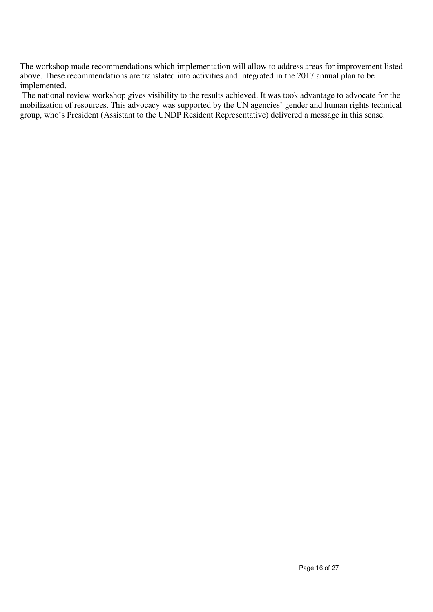The workshop made recommendations which implementation will allow to address areas for improvement listed above. These recommendations are translated into activities and integrated in the 2017 annual plan to be implemented.

 The national review workshop gives visibility to the results achieved. It was took advantage to advocate for the mobilization of resources. This advocacy was supported by the UN agencies' gender and human rights technical group, who's President (Assistant to the UNDP Resident Representative) delivered a message in this sense.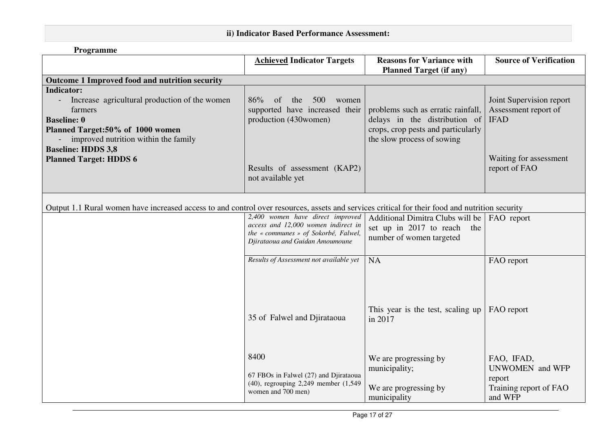# **ii) Indicator Based Performance Assessment:**

| Programme                                                                                                                                                                                                                                     |                                                                                                                                                    |                                                                                                                                         |                                                                                                            |  |  |
|-----------------------------------------------------------------------------------------------------------------------------------------------------------------------------------------------------------------------------------------------|----------------------------------------------------------------------------------------------------------------------------------------------------|-----------------------------------------------------------------------------------------------------------------------------------------|------------------------------------------------------------------------------------------------------------|--|--|
|                                                                                                                                                                                                                                               | <b>Achieved Indicator Targets</b>                                                                                                                  | <b>Reasons for Variance with</b><br><b>Planned Target (if any)</b>                                                                      | <b>Source of Verification</b>                                                                              |  |  |
| Outcome 1 Improved food and nutrition security                                                                                                                                                                                                |                                                                                                                                                    |                                                                                                                                         |                                                                                                            |  |  |
| <b>Indicator:</b><br>Increase agricultural production of the women<br>farmers<br><b>Baseline: 0</b><br>Planned Target:50% of 1000 women<br>improved nutrition within the family<br><b>Baseline: HDDS 3,8</b><br><b>Planned Target: HDDS 6</b> | 86%<br>of<br>500<br>the<br>women<br>supported have increased their<br>production (430women)<br>Results of assessment (KAP2)<br>not available yet   | problems such as erratic rainfall,<br>delays in the distribution of<br>crops, crop pests and particularly<br>the slow process of sowing | Joint Supervision report<br>Assessment report of<br><b>IFAD</b><br>Waiting for assessment<br>report of FAO |  |  |
| Output 1.1 Rural women have increased access to and control over resources, assets and services critical for their food and nutrition security                                                                                                |                                                                                                                                                    |                                                                                                                                         |                                                                                                            |  |  |
|                                                                                                                                                                                                                                               | 2,400 women have direct improved<br>access and 12,000 women indirect in<br>the « communes » of Sokorbé, Falwel,<br>Djirataoua and Guidan Amoumoune | Additional Dimitra Clubs will be<br>set up in 2017 to reach<br>the<br>number of women targeted                                          | FAO report                                                                                                 |  |  |
|                                                                                                                                                                                                                                               | Results of Assessment not available yet                                                                                                            | <b>NA</b>                                                                                                                               | FAO report                                                                                                 |  |  |
|                                                                                                                                                                                                                                               | 35 of Falwel and Djirataoua                                                                                                                        | This year is the test, scaling up<br>in 2017                                                                                            | FAO report                                                                                                 |  |  |
|                                                                                                                                                                                                                                               | 8400<br>67 FBOs in Falwel (27) and Djirataoua<br>(40), regrouping 2,249 member (1,549<br>women and 700 men)                                        | We are progressing by<br>municipality;<br>We are progressing by<br>municipality                                                         | FAO, IFAD,<br><b>UNWOMEN</b> and WFP<br>report<br>Training report of FAO<br>and WFP                        |  |  |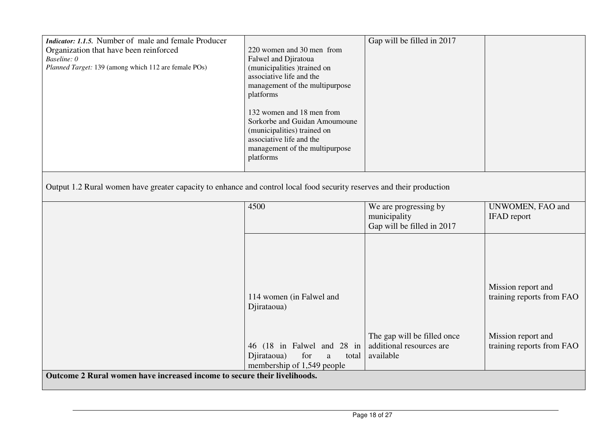| <i>Indicator: 1.1.5.</i> Number of male and female Producer                                                           |                                                   | Gap will be filled in 2017  |                           |  |  |
|-----------------------------------------------------------------------------------------------------------------------|---------------------------------------------------|-----------------------------|---------------------------|--|--|
| Organization that have been reinforced<br>Baseline: 0                                                                 | 220 women and 30 men from<br>Falwel and Djiratoua |                             |                           |  |  |
| Planned Target: 139 (among which 112 are female POs)                                                                  | (municipalities )trained on                       |                             |                           |  |  |
|                                                                                                                       | associative life and the                          |                             |                           |  |  |
|                                                                                                                       | management of the multipurpose                    |                             |                           |  |  |
|                                                                                                                       | platforms                                         |                             |                           |  |  |
|                                                                                                                       | 132 women and 18 men from                         |                             |                           |  |  |
|                                                                                                                       | Sorkorbe and Guidan Amoumoune                     |                             |                           |  |  |
|                                                                                                                       | (municipalities) trained on                       |                             |                           |  |  |
|                                                                                                                       | associative life and the                          |                             |                           |  |  |
|                                                                                                                       | management of the multipurpose<br>platforms       |                             |                           |  |  |
|                                                                                                                       |                                                   |                             |                           |  |  |
|                                                                                                                       |                                                   |                             |                           |  |  |
| Output 1.2 Rural women have greater capacity to enhance and control local food security reserves and their production |                                                   |                             |                           |  |  |
|                                                                                                                       | 4500                                              | We are progressing by       | UNWOMEN, FAO and          |  |  |
|                                                                                                                       |                                                   | municipality                | <b>IFAD</b> report        |  |  |
|                                                                                                                       |                                                   | Gap will be filled in 2017  |                           |  |  |
|                                                                                                                       |                                                   |                             |                           |  |  |
|                                                                                                                       |                                                   |                             |                           |  |  |
|                                                                                                                       |                                                   |                             |                           |  |  |
|                                                                                                                       |                                                   |                             |                           |  |  |
|                                                                                                                       |                                                   |                             | Mission report and        |  |  |
|                                                                                                                       | 114 women (in Falwel and                          |                             | training reports from FAO |  |  |
|                                                                                                                       | Djirataoua)                                       |                             |                           |  |  |
|                                                                                                                       |                                                   |                             |                           |  |  |
|                                                                                                                       |                                                   | The gap will be filled once | Mission report and        |  |  |
|                                                                                                                       | 46 (18 in Falwel and 28 in                        | additional resources are    | training reports from FAO |  |  |
|                                                                                                                       | Djirataoua)<br>for<br>a<br>total                  | available                   |                           |  |  |
|                                                                                                                       | membership of 1,549 people                        |                             |                           |  |  |
| Outcome 2 Rural women have increased income to secure their livelihoods.                                              |                                                   |                             |                           |  |  |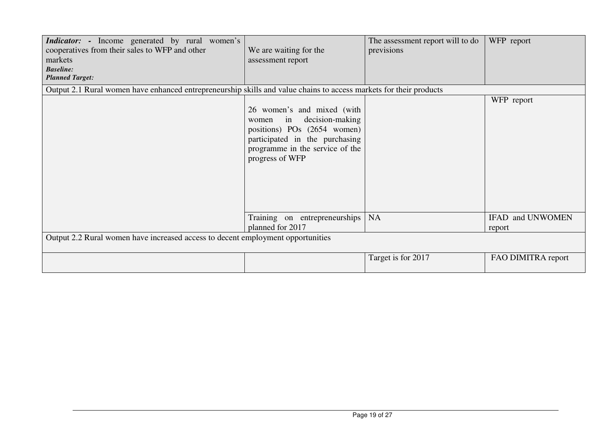| <i>Indicator:</i> - Income generated by rural women's<br>cooperatives from their sales to WFP and other<br>markets<br><b>Baseline:</b><br><b>Planned Target:</b> | We are waiting for the<br>assessment report                                                                                                                                         | The assessment report will to do<br>previsions | WFP report                 |
|------------------------------------------------------------------------------------------------------------------------------------------------------------------|-------------------------------------------------------------------------------------------------------------------------------------------------------------------------------------|------------------------------------------------|----------------------------|
| Output 2.1 Rural women have enhanced entrepreneurship skills and value chains to access markets for their products                                               |                                                                                                                                                                                     |                                                |                            |
|                                                                                                                                                                  | 26 women's and mixed (with<br>decision-making<br>in<br>women<br>positions) POs (2654 women)<br>participated in the purchasing<br>programme in the service of the<br>progress of WFP |                                                | WFP report                 |
|                                                                                                                                                                  | Training on entrepreneurships<br>planned for 2017                                                                                                                                   | <b>NA</b>                                      | IFAD and UNWOMEN<br>report |
| Output 2.2 Rural women have increased access to decent employment opportunities                                                                                  |                                                                                                                                                                                     |                                                |                            |
|                                                                                                                                                                  |                                                                                                                                                                                     | Target is for 2017                             | FAO DIMITRA report         |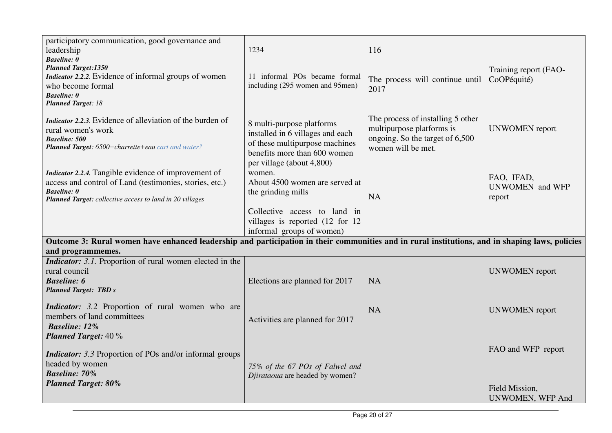| participatory communication, good governance and<br>leadership<br><b>Baseline: 0</b><br><b>Planned Target:1350</b><br>Indicator 2.2.2. Evidence of informal groups of women<br>who become formal<br><b>Baseline:</b> 0<br><b>Planned Target: 18</b> | 1234<br>11 informal POs became formal<br>including (295 women and 95men)                                                                                       | 116<br>The process will continue until<br>2017                                                                          | Training report (FAO-<br>CoOPéquité)                            |
|-----------------------------------------------------------------------------------------------------------------------------------------------------------------------------------------------------------------------------------------------------|----------------------------------------------------------------------------------------------------------------------------------------------------------------|-------------------------------------------------------------------------------------------------------------------------|-----------------------------------------------------------------|
| <i>Indicator 2.2.3.</i> Evidence of alleviation of the burden of<br>rural women's work<br><b>Baseline: 500</b><br>Planned Target: 6500+charrette+eau cart and water?                                                                                | 8 multi-purpose platforms<br>installed in 6 villages and each<br>of these multipurpose machines<br>benefits more than 600 women<br>per village (about 4,800)   | The process of installing 5 other<br>multipurpose platforms is<br>ongoing. So the target of 6,500<br>women will be met. | <b>UNWOMEN</b> report                                           |
| Indicator 2.2.4. Tangible evidence of improvement of<br>access and control of Land (testimonies, stories, etc.)<br><b>Baseline:</b> 0<br>Planned Target: collective access to land in 20 villages                                                   | women.<br>About 4500 women are served at<br>the grinding mills<br>Collective access to land in<br>villages is reported (12 for 12<br>informal groups of women) | <b>NA</b>                                                                                                               | FAO, IFAD,<br><b>UNWOMEN</b> and WFP<br>report                  |
| Outcome 3: Rural women have enhanced leadership and participation in their communities and in rural institutions, and in shaping laws, policies<br>and programmemes.                                                                                |                                                                                                                                                                |                                                                                                                         |                                                                 |
| <i>Indicator: 3.1.</i> Proportion of rural women elected in the<br>rural council<br><b>Baseline: 6</b><br><b>Planned Target: TBD s</b>                                                                                                              | Elections are planned for 2017                                                                                                                                 | <b>NA</b>                                                                                                               | <b>UNWOMEN</b> report                                           |
| <i>Indicator:</i> 3.2 Proportion of rural women who are<br>members of land committees<br><b>Baseline: 12%</b><br><b>Planned Target:</b> 40 %                                                                                                        | Activities are planned for 2017                                                                                                                                | <b>NA</b>                                                                                                               | <b>UNWOMEN</b> report                                           |
| <i>Indicator:</i> 3.3 Proportion of POs and/or informal groups<br>headed by women<br><b>Baseline: 70%</b><br><b>Planned Target: 80%</b>                                                                                                             | 75% of the 67 POs of Falwel and<br>Djirataoua are headed by women?                                                                                             |                                                                                                                         | FAO and WFP report<br>Field Mission,<br><b>UNWOMEN, WFP And</b> |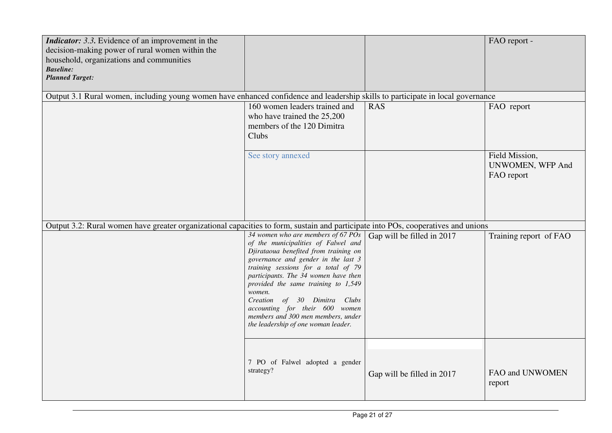| <i>Indicator:</i> 3.3. Evidence of an improvement in the<br>decision-making power of rural women within the<br>household, organizations and communities<br><b>Baseline:</b><br><b>Planned Target:</b> |                                                                                                                                                                                                                                                                                                                                                                                                                                          |                            | FAO report -                                            |
|-------------------------------------------------------------------------------------------------------------------------------------------------------------------------------------------------------|------------------------------------------------------------------------------------------------------------------------------------------------------------------------------------------------------------------------------------------------------------------------------------------------------------------------------------------------------------------------------------------------------------------------------------------|----------------------------|---------------------------------------------------------|
| Output 3.1 Rural women, including young women have enhanced confidence and leadership skills to participate in local governance                                                                       |                                                                                                                                                                                                                                                                                                                                                                                                                                          |                            |                                                         |
|                                                                                                                                                                                                       | 160 women leaders trained and<br>who have trained the 25,200<br>members of the 120 Dimitra<br>Clubs                                                                                                                                                                                                                                                                                                                                      | <b>RAS</b>                 | FAO report                                              |
|                                                                                                                                                                                                       | See story annexed                                                                                                                                                                                                                                                                                                                                                                                                                        |                            | Field Mission,<br><b>UNWOMEN, WFP And</b><br>FAO report |
| Output 3.2: Rural women have greater organizational capacities to form, sustain and participate into POs, cooperatives and unions                                                                     |                                                                                                                                                                                                                                                                                                                                                                                                                                          |                            |                                                         |
|                                                                                                                                                                                                       | 34 women who are members of 67 POs<br>of the municipalities of Falwel and<br>Djirataoua benefited from training on<br>governance and gender in the last 3<br>training sessions for a total of 79<br>participants. The 34 women have then<br>provided the same training to 1,549<br>women.<br>Creation of 30 Dimitra Clubs<br>accounting for their 600 women<br>members and 300 men members, under<br>the leadership of one woman leader. | Gap will be filled in 2017 | Training report of FAO                                  |
|                                                                                                                                                                                                       | 7 PO of Falwel adopted a gender<br>strategy?                                                                                                                                                                                                                                                                                                                                                                                             | Gap will be filled in 2017 | FAO and UNWOMEN<br>report                               |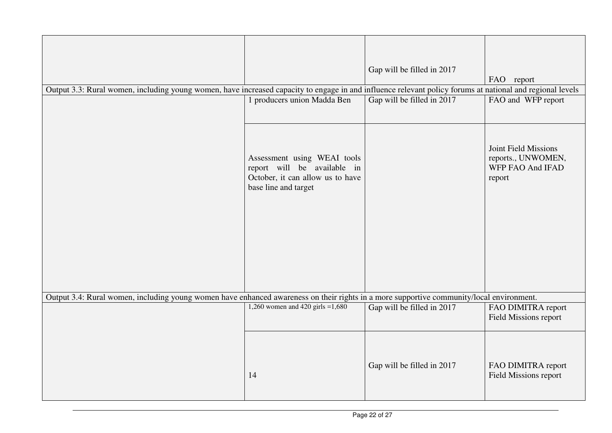|                                                                                                                                                           |                                                                                                                        | Gap will be filled in 2017 |                                                                          |
|-----------------------------------------------------------------------------------------------------------------------------------------------------------|------------------------------------------------------------------------------------------------------------------------|----------------------------|--------------------------------------------------------------------------|
| Output 3.3: Rural women, including young women, have increased capacity to engage in and influence relevant policy forums at national and regional levels |                                                                                                                        |                            | FAO report                                                               |
|                                                                                                                                                           | 1 producers union Madda Ben                                                                                            | Gap will be filled in 2017 | FAO and WFP report                                                       |
|                                                                                                                                                           | Assessment using WEAI tools<br>report will be available in<br>October, it can allow us to have<br>base line and target |                            | Joint Field Missions<br>reports., UNWOMEN,<br>WFP FAO And IFAD<br>report |
| Output 3.4: Rural women, including young women have enhanced awareness on their rights in a more supportive community/local environment.                  |                                                                                                                        |                            |                                                                          |
|                                                                                                                                                           | 1,260 women and 420 girls = $1,680$                                                                                    | Gap will be filled in 2017 | FAO DIMITRA report<br><b>Field Missions report</b>                       |
|                                                                                                                                                           | 14                                                                                                                     | Gap will be filled in 2017 | FAO DIMITRA report<br><b>Field Missions report</b>                       |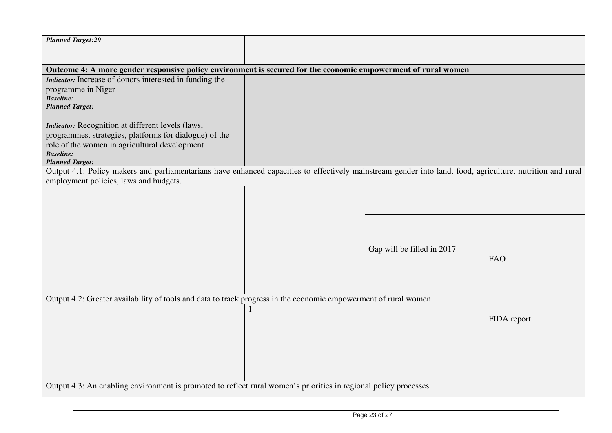| <b>Planned Target:20</b>                                                                                                                                   |  |                            |             |  |
|------------------------------------------------------------------------------------------------------------------------------------------------------------|--|----------------------------|-------------|--|
|                                                                                                                                                            |  |                            |             |  |
| Outcome 4: A more gender responsive policy environment is secured for the economic empowerment of rural women                                              |  |                            |             |  |
| Indicator: Increase of donors interested in funding the                                                                                                    |  |                            |             |  |
| programme in Niger                                                                                                                                         |  |                            |             |  |
| <b>Baseline:</b>                                                                                                                                           |  |                            |             |  |
| <b>Planned Target:</b>                                                                                                                                     |  |                            |             |  |
|                                                                                                                                                            |  |                            |             |  |
| <b>Indicator:</b> Recognition at different levels (laws,                                                                                                   |  |                            |             |  |
| programmes, strategies, platforms for dialogue) of the                                                                                                     |  |                            |             |  |
| role of the women in agricultural development                                                                                                              |  |                            |             |  |
| <b>Baseline:</b><br><b>Planned Target:</b>                                                                                                                 |  |                            |             |  |
| Output 4.1: Policy makers and parliamentarians have enhanced capacities to effectively mainstream gender into land, food, agriculture, nutrition and rural |  |                            |             |  |
| employment policies, laws and budgets.                                                                                                                     |  |                            |             |  |
|                                                                                                                                                            |  |                            |             |  |
|                                                                                                                                                            |  |                            |             |  |
|                                                                                                                                                            |  |                            |             |  |
|                                                                                                                                                            |  |                            |             |  |
|                                                                                                                                                            |  |                            |             |  |
|                                                                                                                                                            |  |                            |             |  |
|                                                                                                                                                            |  | Gap will be filled in 2017 |             |  |
|                                                                                                                                                            |  |                            | FAO         |  |
|                                                                                                                                                            |  |                            |             |  |
|                                                                                                                                                            |  |                            |             |  |
|                                                                                                                                                            |  |                            |             |  |
| Output 4.2: Greater availability of tools and data to track progress in the economic empowerment of rural women                                            |  |                            |             |  |
|                                                                                                                                                            |  |                            |             |  |
|                                                                                                                                                            |  |                            | FIDA report |  |
|                                                                                                                                                            |  |                            |             |  |
|                                                                                                                                                            |  |                            |             |  |
|                                                                                                                                                            |  |                            |             |  |
|                                                                                                                                                            |  |                            |             |  |
|                                                                                                                                                            |  |                            |             |  |
|                                                                                                                                                            |  |                            |             |  |
| Output 4.3: An enabling environment is promoted to reflect rural women's priorities in regional policy processes.                                          |  |                            |             |  |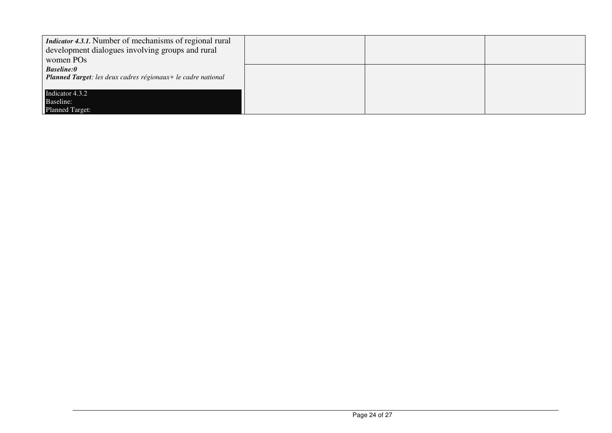| <i>Indicator 4.3.1.</i> Number of mechanisms of regional rural<br>development dialogues involving groups and rural<br>women PO <sub>s</sub> |  |  |
|---------------------------------------------------------------------------------------------------------------------------------------------|--|--|
| <b>Baseline:0</b><br>Planned Target: les deux cadres régionaux+ le cadre national                                                           |  |  |
| Indicator 4.3.2<br>Baseline:                                                                                                                |  |  |
| <b>Planned Target:</b>                                                                                                                      |  |  |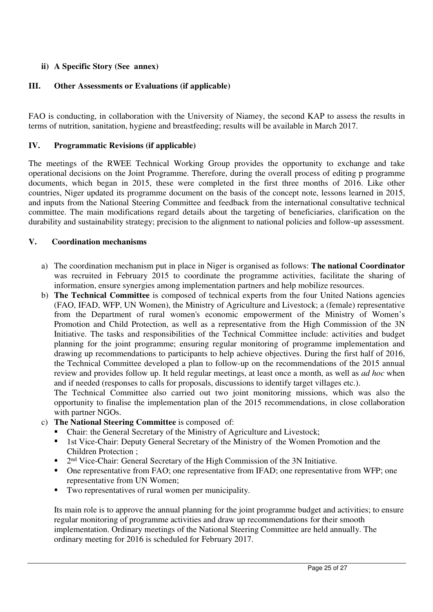# **ii) A Specific Story (See annex)**

# **III. Other Assessments or Evaluations (if applicable)**

FAO is conducting, in collaboration with the University of Niamey, the second KAP to assess the results in terms of nutrition, sanitation, hygiene and breastfeeding; results will be available in March 2017.

# **IV. Programmatic Revisions (if applicable)**

The meetings of the RWEE Technical Working Group provides the opportunity to exchange and take operational decisions on the Joint Programme. Therefore, during the overall process of editing p programme documents, which began in 2015, these were completed in the first three months of 2016. Like other countries, Niger updated its programme document on the basis of the concept note, lessons learned in 2015, and inputs from the National Steering Committee and feedback from the international consultative technical committee. The main modifications regard details about the targeting of beneficiaries, clarification on the durability and sustainability strategy; precision to the alignment to national policies and follow-up assessment.

# **V. Coordination mechanisms**

- a) The coordination mechanism put in place in Niger is organised as follows: **The national Coordinator**  was recruited in February 2015 to coordinate the programme activities, facilitate the sharing of information, ensure synergies among implementation partners and help mobilize resources.
- b) **The Technical Committee** is composed of technical experts from the four United Nations agencies (FAO, IFAD, WFP, UN Women), the Ministry of Agriculture and Livestock; a (female) representative from the Department of rural women's economic empowerment of the Ministry of Women's Promotion and Child Protection, as well as a representative from the High Commission of the 3N Initiative. The tasks and responsibilities of the Technical Committee include: activities and budget planning for the joint programme; ensuring regular monitoring of programme implementation and drawing up recommendations to participants to help achieve objectives. During the first half of 2016, the Technical Committee developed a plan to follow-up on the recommendations of the 2015 annual review and provides follow up. It held regular meetings, at least once a month, as well as *ad hoc* when and if needed (responses to calls for proposals, discussions to identify target villages etc.).

The Technical Committee also carried out two joint monitoring missions, which was also the opportunity to finalise the implementation plan of the 2015 recommendations, in close collaboration with partner NGOs.

- c) **The National Steering Committee** is composed of:
	- Chair: the General Secretary of the Ministry of Agriculture and Livestock;
	- **1st Vice-Chair: Deputy General Secretary of the Ministry of the Women Promotion and the** Children Protection ;
	- <sup>2nd</sup> Vice-Chair: General Secretary of the High Commission of the 3N Initiative.
	- One representative from FAO; one representative from IFAD; one representative from WFP; one representative from UN Women;
	- Two representatives of rural women per municipality.

Its main role is to approve the annual planning for the joint programme budget and activities; to ensure regular monitoring of programme activities and draw up recommendations for their smooth implementation. Ordinary meetings of the National Steering Committee are held annually. The ordinary meeting for 2016 is scheduled for February 2017.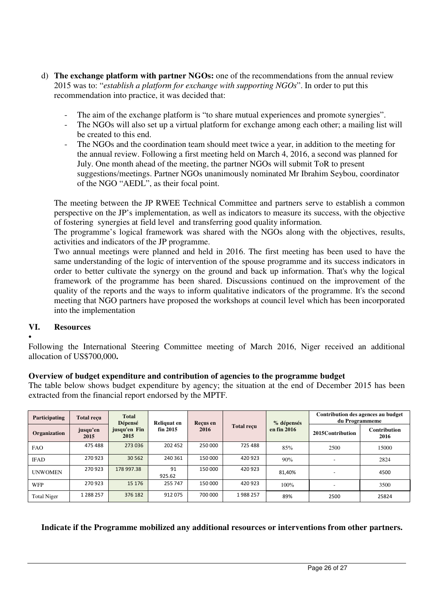- d) **The exchange platform with partner NGOs:** one of the recommendations from the annual review 2015 was to: "*establish a platform for exchange with supporting NGOs*". In order to put this recommendation into practice, it was decided that:
	- The aim of the exchange platform is "to share mutual experiences and promote synergies".
	- The NGOs will also set up a virtual platform for exchange among each other; a mailing list will be created to this end.
	- The NGOs and the coordination team should meet twice a year, in addition to the meeting for the annual review. Following a first meeting held on March 4, 2016, a second was planned for July. One month ahead of the meeting, the partner NGOs will submit ToR to present suggestions/meetings. Partner NGOs unanimously nominated Mr Ibrahim Seybou, coordinator of the NGO "AEDL", as their focal point.

The meeting between the JP RWEE Technical Committee and partners serve to establish a common perspective on the JP's implementation, as well as indicators to measure its success, with the objective of fostering synergies at field level and transferring good quality information*.* 

The programme's logical framework was shared with the NGOs along with the objectives, results, activities and indicators of the JP programme.

Two annual meetings were planned and held in 2016. The first meeting has been used to have the same understanding of the logic of intervention of the spouse programme and its success indicators in order to better cultivate the synergy on the ground and back up information. That's why the logical framework of the programme has been shared. Discussions continued on the improvement of the quality of the reports and the ways to inform qualitative indicators of the programme. It's the second meeting that NGO partners have proposed the workshops at council level which has been incorporated into the implementation

# **VI. Resources**

• Following the International Steering Committee meeting of March 2016, Niger received an additional allocation of US\$700,000**.** 

# **Overview of budget expenditure and contribution of agencies to the programme budget**

The table below shows budget expenditure by agency; the situation at the end of December 2015 has been extracted from the financial report endorsed by the MPTF.

| Participating      | <b>Total recu</b> | <b>Total</b><br>Dépensé | Reliquat en  | Recus en |         |                   | % dépensés<br><b>Total reçu</b><br>en fin 2016 | du Programmeme              | Contribution des agences au budget |
|--------------------|-------------------|-------------------------|--------------|----------|---------|-------------------|------------------------------------------------|-----------------------------|------------------------------------|
| Organization       | jusqu'en<br>2015  | jusqu'en Fin<br>2015    | fin 2015     | 2016     |         | 2015 Contribution |                                                | <b>Contribution</b><br>2016 |                                    |
| <b>FAO</b>         | 475 488           | 273 036                 | 202 452      | 250 000  | 725 488 | 85%               | 2500                                           | 15000                       |                                    |
| <b>IFAD</b>        | 270923            | 30 562                  | 240 361      | 150 000  | 420 923 | 90%               |                                                | 2824                        |                                    |
| <b>UNWOMEN</b>     | 270923            | 178 997.38              | 91<br>925.62 | 150 000  | 420 923 | 81,40%            |                                                | 4500                        |                                    |
| WFP                | 270923            | 15 176                  | 255 747      | 150 000  | 420 923 | 100%              |                                                | 3500                        |                                    |
| <b>Total Niger</b> | 1 288 257         | 376 182                 | 912075       | 700 000  | 1988257 | 89%               | 2500                                           | 25824                       |                                    |

# **Indicate if the Programme mobilized any additional resources or interventions from other partners.**